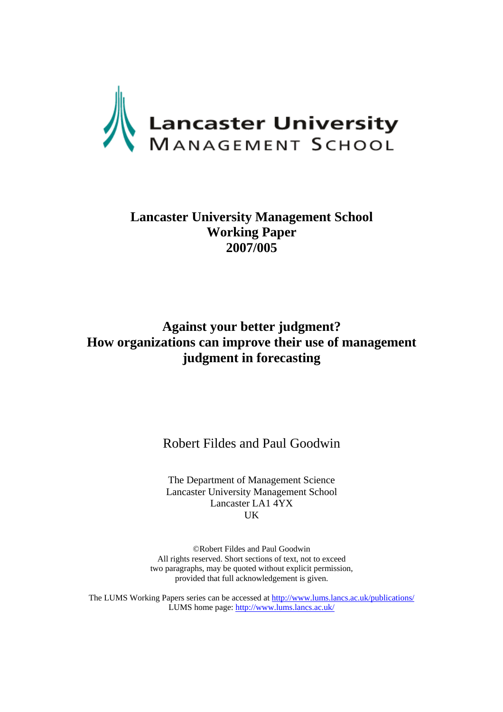

## **Lancaster University Management School Working Paper 2007/005**

# **Against your better judgment? How organizations can improve their use of management judgment in forecasting**

Robert Fildes and Paul Goodwin

The Department of Management Science Lancaster University Management School Lancaster LA1 4YX UK

©Robert Fildes and Paul Goodwin All rights reserved. Short sections of text, not to exceed two paragraphs, may be quoted without explicit permission, provided that full acknowledgement is given.

The LUMS Working Papers series can be accessed at<http://www.lums.lancs.ac.uk/publications/> LUMS home page: <http://www.lums.lancs.ac.uk/>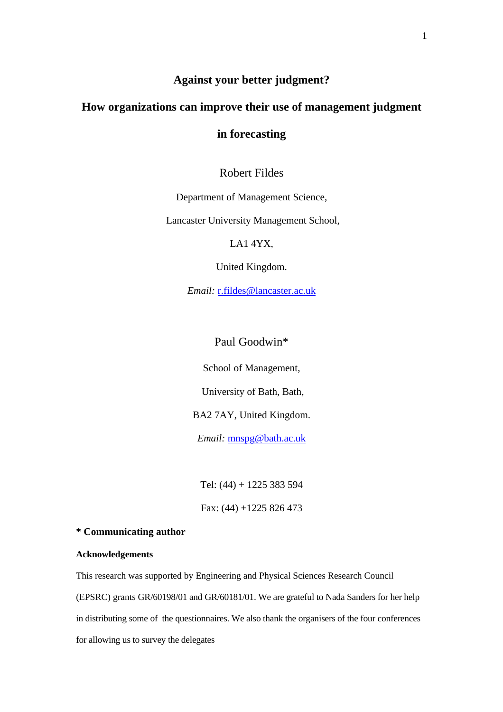## **Against your better judgment?**

### **How organizations can improve their use of management judgment**

### **in forecasting**

Robert Fildes

Department of Management Science,

Lancaster University Management School,

LA1 4YX,

United Kingdom.

*Email:* r.fildes@lancaster.ac.uk

Paul Goodwin\*

School of Management,

University of Bath, Bath,

BA2 7AY, United Kingdom.

*Email:* mnspg@bath.ac.uk

Tel: (44) + 1225 383 594 Fax: (44) +1225 826 473

#### **\* Communicating author**

#### **Acknowledgements**

This research was supported by Engineering and Physical Sciences Research Council (EPSRC) grants GR/60198/01 and GR/60181/01. We are grateful to Nada Sanders for her help in distributing some of the questionnaires. We also thank the organisers of the four conferences for allowing us to survey the delegates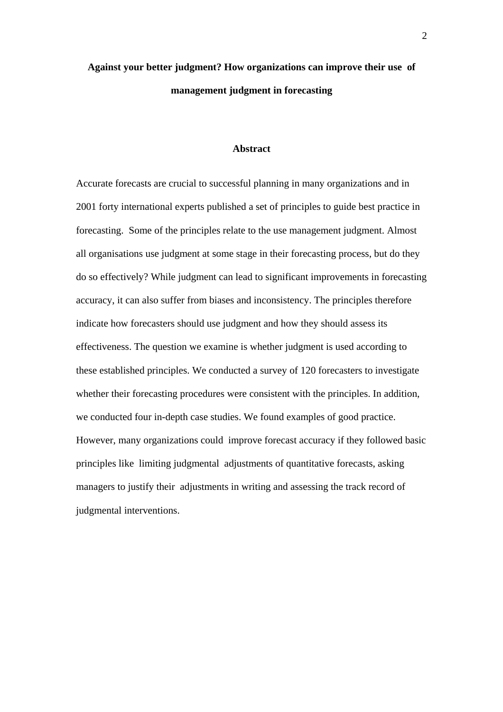# **Against your better judgment? How organizations can improve their use of management judgment in forecasting**

#### **Abstract**

Accurate forecasts are crucial to successful planning in many organizations and in 2001 forty international experts published a set of principles to guide best practice in forecasting. Some of the principles relate to the use management judgment. Almost all organisations use judgment at some stage in their forecasting process, but do they do so effectively? While judgment can lead to significant improvements in forecasting accuracy, it can also suffer from biases and inconsistency. The principles therefore indicate how forecasters should use judgment and how they should assess its effectiveness. The question we examine is whether judgment is used according to these established principles. We conducted a survey of 120 forecasters to investigate whether their forecasting procedures were consistent with the principles. In addition, we conducted four in-depth case studies. We found examples of good practice. However, many organizations could improve forecast accuracy if they followed basic principles like limiting judgmental adjustments of quantitative forecasts, asking managers to justify their adjustments in writing and assessing the track record of judgmental interventions.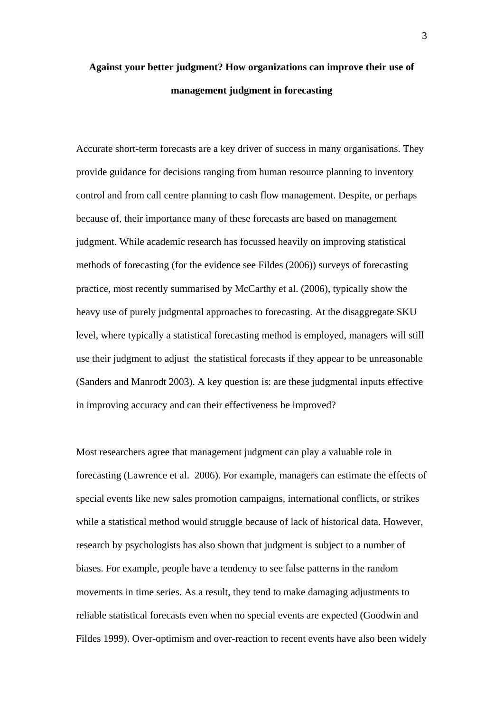# **Against your better judgment? How organizations can improve their use of management judgment in forecasting**

Accurate short-term forecasts are a key driver of success in many organisations. They provide guidance for decisions ranging from human resource planning to inventory control and from call centre planning to cash flow management. Despite, or perhaps because of, their importance many of these forecasts are based on management judgment. While academic research has focussed heavily on improving statistical methods of forecasting (for the evidence see Fildes (2006)) surveys of forecasting practice, most recently summarised by McCarthy et al. (2006), typically show the heavy use of purely judgmental approaches to forecasting. At the disaggregate SKU level, where typically a statistical forecasting method is employed, managers will still use their judgment to adjust the statistical forecasts if they appear to be unreasonable (Sanders and Manrodt 2003). A key question is: are these judgmental inputs effective in improving accuracy and can their effectiveness be improved?

Most researchers agree that management judgment can play a valuable role in forecasting (Lawrence et al. 2006). For example, managers can estimate the effects of special events like new sales promotion campaigns, international conflicts, or strikes while a statistical method would struggle because of lack of historical data. However, research by psychologists has also shown that judgment is subject to a number of biases. For example, people have a tendency to see false patterns in the random movements in time series. As a result, they tend to make damaging adjustments to reliable statistical forecasts even when no special events are expected (Goodwin and Fildes 1999). Over-optimism and over-reaction to recent events have also been widely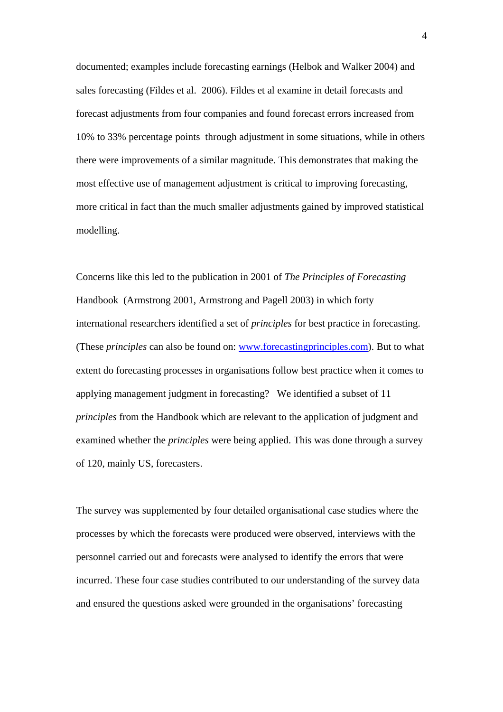documented; examples include forecasting earnings (Helbok and Walker 2004) and sales forecasting (Fildes et al. 2006). Fildes et al examine in detail forecasts and forecast adjustments from four companies and found forecast errors increased from 10% to 33% percentage points through adjustment in some situations, while in others there were improvements of a similar magnitude. This demonstrates that making the most effective use of management adjustment is critical to improving forecasting, more critical in fact than the much smaller adjustments gained by improved statistical modelling.

Concerns like this led to the publication in 2001 of *The Principles of Forecasting* Handbook (Armstrong 2001, Armstrong and Pagell 2003) in which forty international researchers identified a set of *principles* for best practice in forecasting. (These *principles* can also be found on: www.forecastingprinciples.com). But to what extent do forecasting processes in organisations follow best practice when it comes to applying management judgment in forecasting? We identified a subset of 11 *principles* from the Handbook which are relevant to the application of judgment and examined whether the *principles* were being applied. This was done through a survey of 120, mainly US, forecasters.

The survey was supplemented by four detailed organisational case studies where the processes by which the forecasts were produced were observed, interviews with the personnel carried out and forecasts were analysed to identify the errors that were incurred. These four case studies contributed to our understanding of the survey data and ensured the questions asked were grounded in the organisations' forecasting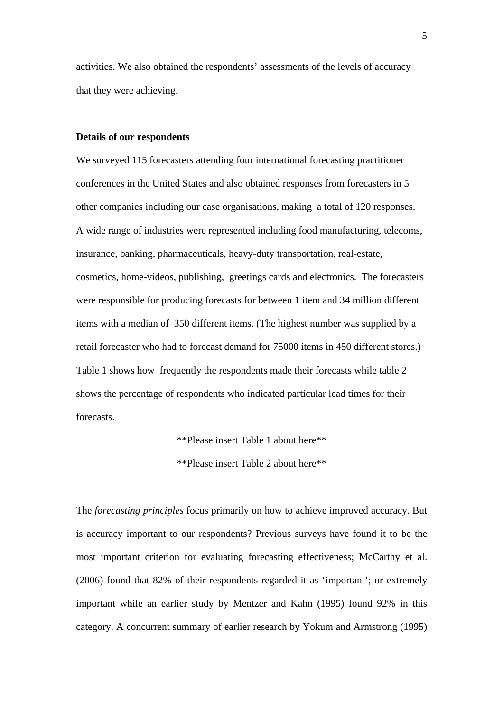activities. We also obtained the respondents' assessments of the levels of accuracy that they were achieving.

#### **Details of our respondents**

We surveyed 115 forecasters attending four international forecasting practitioner conferences in the United States and also obtained responses from forecasters in 5 other companies including our case organisations, making a total of 120 responses. A wide range of industries were represented including food manufacturing, telecoms, insurance, banking, pharmaceuticals, heavy-duty transportation, real-estate, cosmetics, home-videos, publishing, greetings cards and electronics. The forecasters were responsible for producing forecasts for between 1 item and 34 million different items with a median of 350 different items. (The highest number was supplied by a retail forecaster who had to forecast demand for 75000 items in 450 different stores.) Table 1 shows how frequently the respondents made their forecasts while table 2 shows the percentage of respondents who indicated particular lead times for their forecasts.

\*\*Please insert Table 1 about here\*\*

\*\*Please insert Table 2 about here\*\*

The *forecasting principles* focus primarily on how to achieve improved accuracy. But is accuracy important to our respondents? Previous surveys have found it to be the most important criterion for evaluating forecasting effectiveness; McCarthy et al. (2006) found that 82% of their respondents regarded it as 'important'; or extremely important while an earlier study by Mentzer and Kahn (1995) found 92% in this category. A concurrent summary of earlier research by Yokum and Armstrong (1995)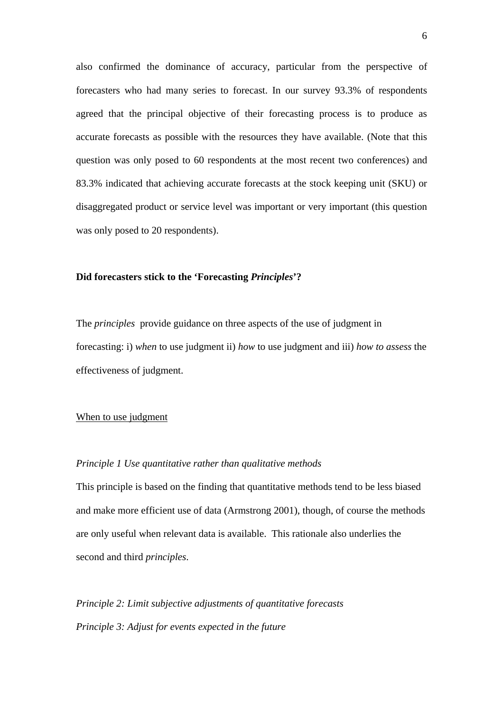also confirmed the dominance of accuracy, particular from the perspective of forecasters who had many series to forecast. In our survey 93.3% of respondents agreed that the principal objective of their forecasting process is to produce as accurate forecasts as possible with the resources they have available. (Note that this question was only posed to 60 respondents at the most recent two conferences) and 83.3% indicated that achieving accurate forecasts at the stock keeping unit (SKU) or disaggregated product or service level was important or very important (this question was only posed to 20 respondents).

#### **Did forecasters stick to the 'Forecasting** *Principles***'?**

The *principles* provide guidance on three aspects of the use of judgment in forecasting: i) *when* to use judgment ii) *how* to use judgment and iii) *how to assess* the effectiveness of judgment.

#### When to use judgment

#### *Principle 1 Use quantitative rather than qualitative methods*

This principle is based on the finding that quantitative methods tend to be less biased and make more efficient use of data (Armstrong 2001), though, of course the methods are only useful when relevant data is available. This rationale also underlies the second and third *principles*.

*Principle 2: Limit subjective adjustments of quantitative forecasts Principle 3: Adjust for events expected in the future*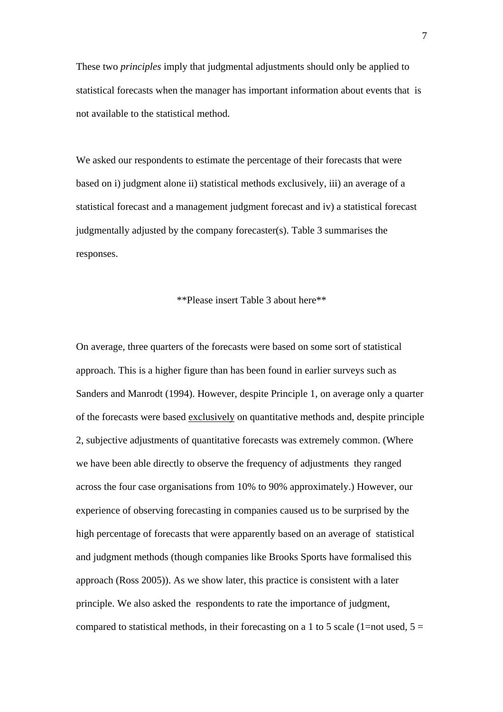These two *principles* imply that judgmental adjustments should only be applied to statistical forecasts when the manager has important information about events that is not available to the statistical method.

We asked our respondents to estimate the percentage of their forecasts that were based on i) judgment alone ii) statistical methods exclusively, iii) an average of a statistical forecast and a management judgment forecast and iv) a statistical forecast judgmentally adjusted by the company forecaster(s). Table 3 summarises the responses.

#### \*\*Please insert Table 3 about here\*\*

On average, three quarters of the forecasts were based on some sort of statistical approach. This is a higher figure than has been found in earlier surveys such as Sanders and Manrodt (1994). However, despite Principle 1, on average only a quarter of the forecasts were based exclusively on quantitative methods and, despite principle 2, subjective adjustments of quantitative forecasts was extremely common. (Where we have been able directly to observe the frequency of adjustments they ranged across the four case organisations from 10% to 90% approximately.) However, our experience of observing forecasting in companies caused us to be surprised by the high percentage of forecasts that were apparently based on an average of statistical and judgment methods (though companies like Brooks Sports have formalised this approach (Ross 2005)). As we show later, this practice is consistent with a later principle. We also asked the respondents to rate the importance of judgment, compared to statistical methods, in their forecasting on a 1 to 5 scale (1=not used,  $5 =$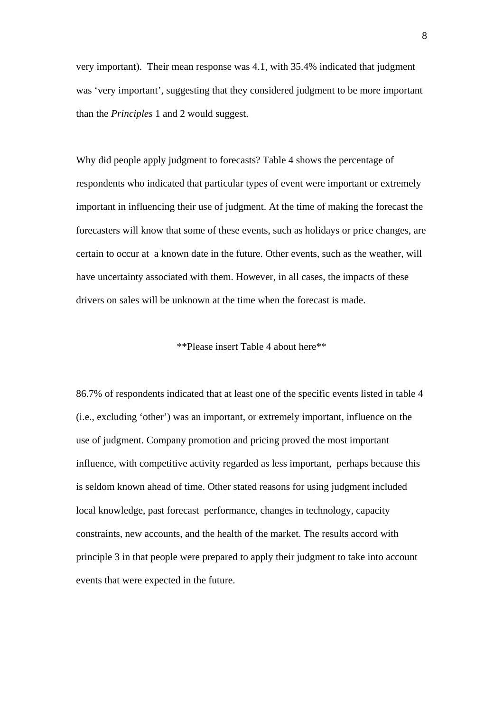very important). Their mean response was 4.1, with 35.4% indicated that judgment was 'very important', suggesting that they considered judgment to be more important than the *Principles* 1 and 2 would suggest.

Why did people apply judgment to forecasts? Table 4 shows the percentage of respondents who indicated that particular types of event were important or extremely important in influencing their use of judgment. At the time of making the forecast the forecasters will know that some of these events, such as holidays or price changes, are certain to occur at a known date in the future. Other events, such as the weather, will have uncertainty associated with them. However, in all cases, the impacts of these drivers on sales will be unknown at the time when the forecast is made.

\*\*Please insert Table 4 about here\*\*

86.7% of respondents indicated that at least one of the specific events listed in table 4 (i.e., excluding 'other') was an important, or extremely important, influence on the use of judgment. Company promotion and pricing proved the most important influence, with competitive activity regarded as less important, perhaps because this is seldom known ahead of time. Other stated reasons for using judgment included local knowledge, past forecast performance, changes in technology, capacity constraints, new accounts, and the health of the market. The results accord with principle 3 in that people were prepared to apply their judgment to take into account events that were expected in the future.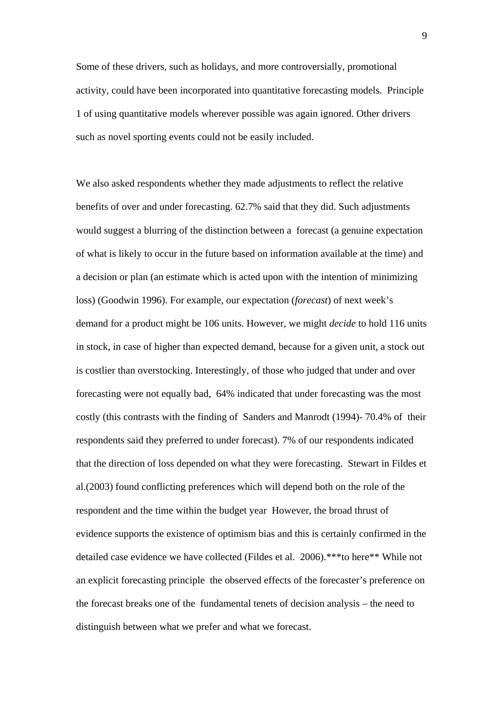Some of these drivers, such as holidays, and more controversially, promotional activity, could have been incorporated into quantitative forecasting models. Principle 1 of using quantitative models wherever possible was again ignored. Other drivers such as novel sporting events could not be easily included.

We also asked respondents whether they made adjustments to reflect the relative benefits of over and under forecasting. 62.7% said that they did. Such adjustments would suggest a blurring of the distinction between a forecast (a genuine expectation of what is likely to occur in the future based on information available at the time) and a decision or plan (an estimate which is acted upon with the intention of minimizing loss) (Goodwin 1996). For example, our expectation (*forecast*) of next week's demand for a product might be 106 units. However, we might *decide* to hold 116 units in stock, in case of higher than expected demand, because for a given unit, a stock out is costlier than overstocking. Interestingly, of those who judged that under and over forecasting were not equally bad, 64% indicated that under forecasting was the most costly (this contrasts with the finding of Sanders and Manrodt (1994)- 70.4% of their respondents said they preferred to under forecast). 7% of our respondents indicated that the direction of loss depended on what they were forecasting. Stewart in Fildes et al.(2003) found conflicting preferences which will depend both on the role of the respondent and the time within the budget year However, the broad thrust of evidence supports the existence of optimism bias and this is certainly confirmed in the detailed case evidence we have collected (Fildes et al. 2006).\*\*\*to here\*\* While not an explicit forecasting principle the observed effects of the forecaster's preference on the forecast breaks one of the fundamental tenets of decision analysis – the need to distinguish between what we prefer and what we forecast.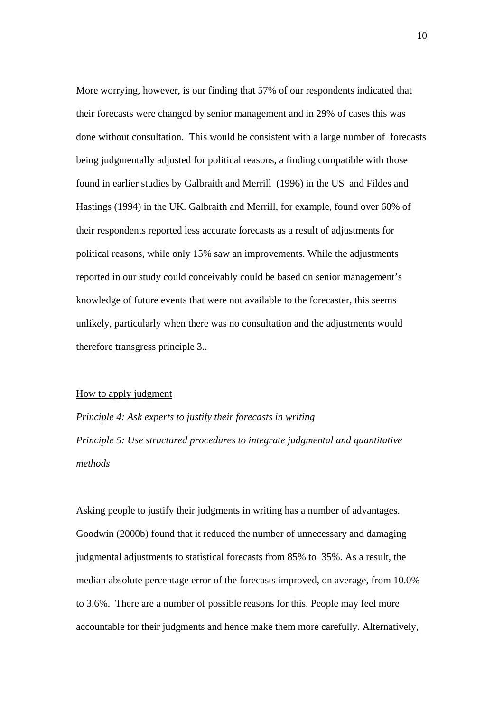More worrying, however, is our finding that 57% of our respondents indicated that their forecasts were changed by senior management and in 29% of cases this was done without consultation. This would be consistent with a large number of forecasts being judgmentally adjusted for political reasons, a finding compatible with those found in earlier studies by Galbraith and Merrill (1996) in the US and Fildes and Hastings (1994) in the UK. Galbraith and Merrill, for example, found over 60% of their respondents reported less accurate forecasts as a result of adjustments for political reasons, while only 15% saw an improvements. While the adjustments reported in our study could conceivably could be based on senior management's knowledge of future events that were not available to the forecaster, this seems unlikely, particularly when there was no consultation and the adjustments would therefore transgress principle 3..

#### How to apply judgment

*Principle 4: Ask experts to justify their forecasts in writing Principle 5: Use structured procedures to integrate judgmental and quantitative methods* 

Asking people to justify their judgments in writing has a number of advantages. Goodwin (2000b) found that it reduced the number of unnecessary and damaging judgmental adjustments to statistical forecasts from 85% to 35%. As a result, the median absolute percentage error of the forecasts improved, on average, from 10.0% to 3.6%. There are a number of possible reasons for this. People may feel more accountable for their judgments and hence make them more carefully. Alternatively,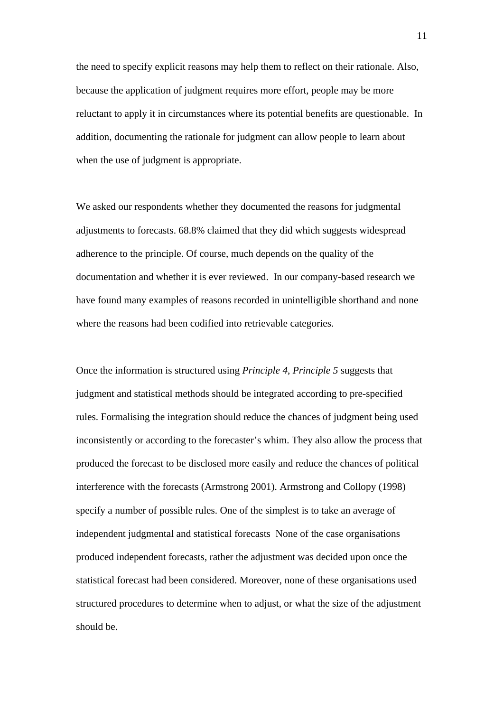the need to specify explicit reasons may help them to reflect on their rationale. Also, because the application of judgment requires more effort, people may be more reluctant to apply it in circumstances where its potential benefits are questionable. In addition, documenting the rationale for judgment can allow people to learn about when the use of judgment is appropriate.

We asked our respondents whether they documented the reasons for judgmental adjustments to forecasts. 68.8% claimed that they did which suggests widespread adherence to the principle. Of course, much depends on the quality of the documentation and whether it is ever reviewed. In our company-based research we have found many examples of reasons recorded in unintelligible shorthand and none where the reasons had been codified into retrievable categories.

Once the information is structured using *Principle 4*, *Principle 5* suggests that judgment and statistical methods should be integrated according to pre-specified rules. Formalising the integration should reduce the chances of judgment being used inconsistently or according to the forecaster's whim. They also allow the process that produced the forecast to be disclosed more easily and reduce the chances of political interference with the forecasts (Armstrong 2001). Armstrong and Collopy (1998) specify a number of possible rules. One of the simplest is to take an average of independent judgmental and statistical forecasts None of the case organisations produced independent forecasts, rather the adjustment was decided upon once the statistical forecast had been considered. Moreover, none of these organisations used structured procedures to determine when to adjust, or what the size of the adjustment should be.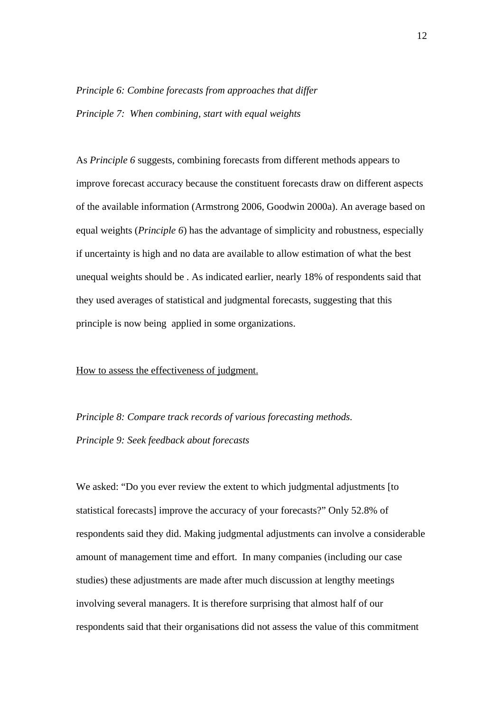# *Principle 6: Combine forecasts from approaches that differ Principle 7: When combining, start with equal weights*

As *Principle 6* suggests, combining forecasts from different methods appears to improve forecast accuracy because the constituent forecasts draw on different aspects of the available information (Armstrong 2006, Goodwin 2000a). An average based on equal weights (*Principle 6*) has the advantage of simplicity and robustness, especially if uncertainty is high and no data are available to allow estimation of what the best unequal weights should be . As indicated earlier, nearly 18% of respondents said that they used averages of statistical and judgmental forecasts, suggesting that this principle is now being applied in some organizations.

#### How to assess the effectiveness of judgment.

*Principle 8: Compare track records of various forecasting methods. Principle 9: Seek feedback about forecasts* 

We asked: "Do you ever review the extent to which judgmental adjustments [to statistical forecasts] improve the accuracy of your forecasts?" Only 52.8% of respondents said they did. Making judgmental adjustments can involve a considerable amount of management time and effort. In many companies (including our case studies) these adjustments are made after much discussion at lengthy meetings involving several managers. It is therefore surprising that almost half of our respondents said that their organisations did not assess the value of this commitment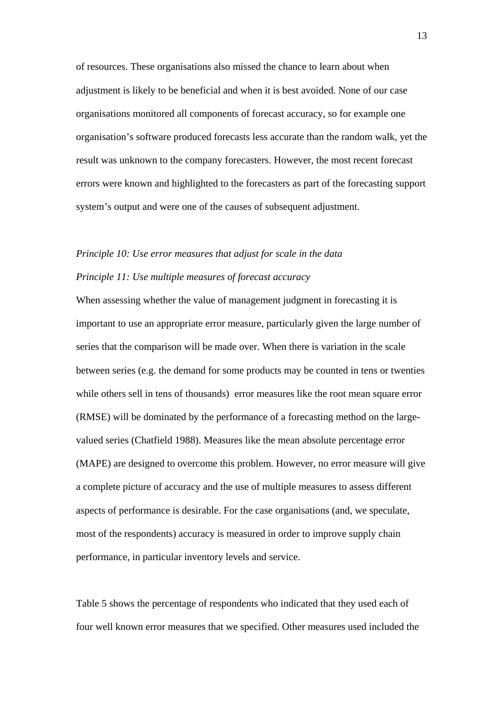of resources. These organisations also missed the chance to learn about when adjustment is likely to be beneficial and when it is best avoided. None of our case organisations monitored all components of forecast accuracy, so for example one organisation's software produced forecasts less accurate than the random walk, yet the result was unknown to the company forecasters. However, the most recent forecast errors were known and highlighted to the forecasters as part of the forecasting support system's output and were one of the causes of subsequent adjustment.

# *Principle 10: Use error measures that adjust for scale in the data Principle 11: Use multiple measures of forecast accuracy*

When assessing whether the value of management judgment in forecasting it is important to use an appropriate error measure, particularly given the large number of series that the comparison will be made over. When there is variation in the scale between series (e.g. the demand for some products may be counted in tens or twenties while others sell in tens of thousands) error measures like the root mean square error (RMSE) will be dominated by the performance of a forecasting method on the largevalued series (Chatfield 1988). Measures like the mean absolute percentage error (MAPE) are designed to overcome this problem. However, no error measure will give a complete picture of accuracy and the use of multiple measures to assess different aspects of performance is desirable. For the case organisations (and, we speculate, most of the respondents) accuracy is measured in order to improve supply chain performance, in particular inventory levels and service.

Table 5 shows the percentage of respondents who indicated that they used each of four well known error measures that we specified. Other measures used included the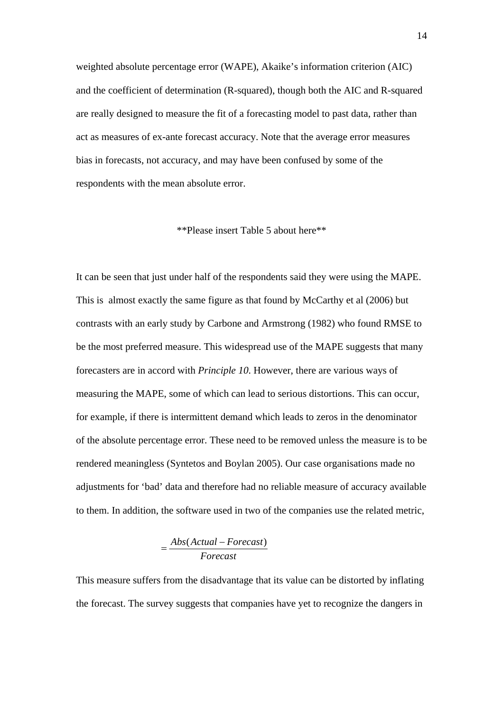weighted absolute percentage error (WAPE), Akaike's information criterion (AIC) and the coefficient of determination (R-squared), though both the AIC and R-squared are really designed to measure the fit of a forecasting model to past data, rather than act as measures of ex-ante forecast accuracy. Note that the average error measures bias in forecasts, not accuracy, and may have been confused by some of the respondents with the mean absolute error.

#### \*\*Please insert Table 5 about here\*\*

It can be seen that just under half of the respondents said they were using the MAPE. This is almost exactly the same figure as that found by McCarthy et al (2006) but contrasts with an early study by Carbone and Armstrong (1982) who found RMSE to be the most preferred measure. This widespread use of the MAPE suggests that many forecasters are in accord with *Principle 10*. However, there are various ways of measuring the MAPE, some of which can lead to serious distortions. This can occur, for example, if there is intermittent demand which leads to zeros in the denominator of the absolute percentage error. These need to be removed unless the measure is to be rendered meaningless (Syntetos and Boylan 2005). Our case organisations made no adjustments for 'bad' data and therefore had no reliable measure of accuracy available to them. In addition, the software used in two of the companies use the related metric,

$$
=\frac{Abs(Actual-Forecast)}{Forecast}
$$

This measure suffers from the disadvantage that its value can be distorted by inflating the forecast. The survey suggests that companies have yet to recognize the dangers in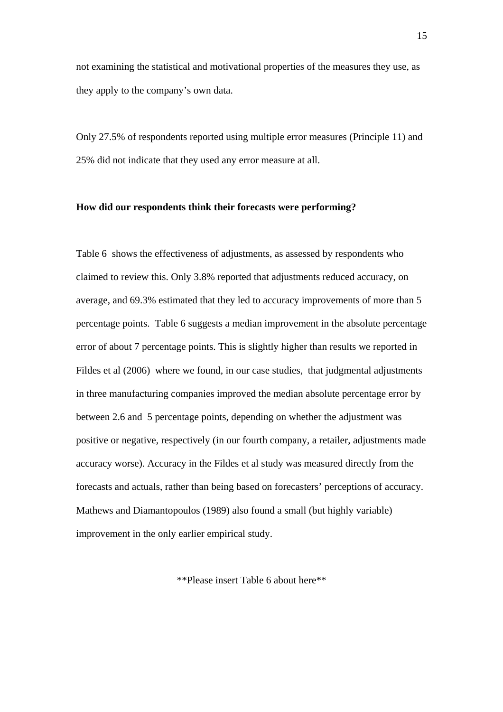not examining the statistical and motivational properties of the measures they use, as they apply to the company's own data.

Only 27.5% of respondents reported using multiple error measures (Principle 11) and 25% did not indicate that they used any error measure at all.

#### **How did our respondents think their forecasts were performing?**

Table 6 shows the effectiveness of adjustments, as assessed by respondents who claimed to review this. Only 3.8% reported that adjustments reduced accuracy, on average, and 69.3% estimated that they led to accuracy improvements of more than 5 percentage points. Table 6 suggests a median improvement in the absolute percentage error of about 7 percentage points. This is slightly higher than results we reported in Fildes et al (2006) where we found, in our case studies, that judgmental adjustments in three manufacturing companies improved the median absolute percentage error by between 2.6 and 5 percentage points, depending on whether the adjustment was positive or negative, respectively (in our fourth company, a retailer, adjustments made accuracy worse). Accuracy in the Fildes et al study was measured directly from the forecasts and actuals, rather than being based on forecasters' perceptions of accuracy. Mathews and Diamantopoulos (1989) also found a small (but highly variable) improvement in the only earlier empirical study.

\*\*Please insert Table 6 about here\*\*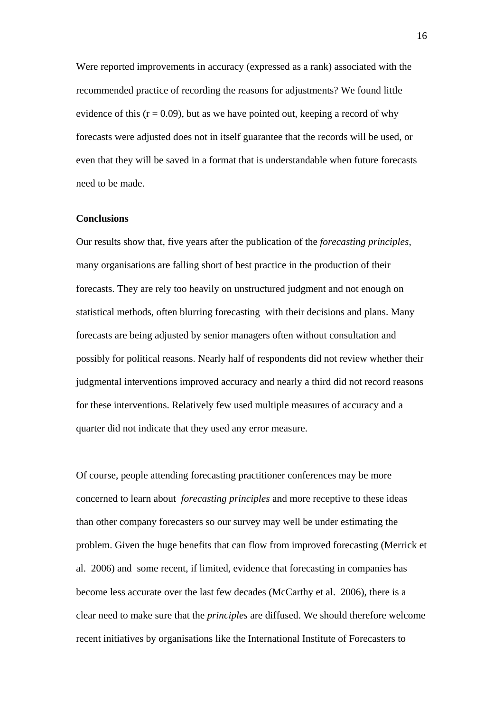Were reported improvements in accuracy (expressed as a rank) associated with the recommended practice of recording the reasons for adjustments? We found little evidence of this  $(r = 0.09)$ , but as we have pointed out, keeping a record of why forecasts were adjusted does not in itself guarantee that the records will be used, or even that they will be saved in a format that is understandable when future forecasts need to be made.

#### **Conclusions**

Our results show that, five years after the publication of the *forecasting principles*, many organisations are falling short of best practice in the production of their forecasts. They are rely too heavily on unstructured judgment and not enough on statistical methods, often blurring forecasting with their decisions and plans. Many forecasts are being adjusted by senior managers often without consultation and possibly for political reasons. Nearly half of respondents did not review whether their judgmental interventions improved accuracy and nearly a third did not record reasons for these interventions. Relatively few used multiple measures of accuracy and a quarter did not indicate that they used any error measure.

Of course, people attending forecasting practitioner conferences may be more concerned to learn about *forecasting principles* and more receptive to these ideas than other company forecasters so our survey may well be under estimating the problem. Given the huge benefits that can flow from improved forecasting (Merrick et al. 2006) and some recent, if limited, evidence that forecasting in companies has become less accurate over the last few decades (McCarthy et al. 2006), there is a clear need to make sure that the *principles* are diffused. We should therefore welcome recent initiatives by organisations like the International Institute of Forecasters to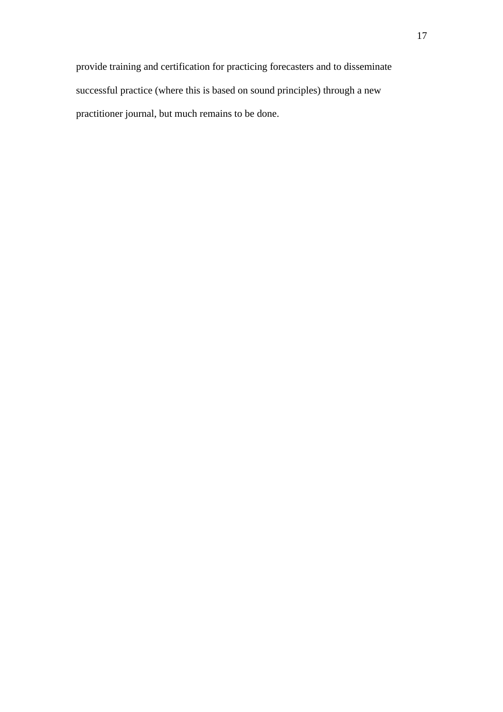provide training and certification for practicing forecasters and to disseminate successful practice (where this is based on sound principles) through a new practitioner journal, but much remains to be done.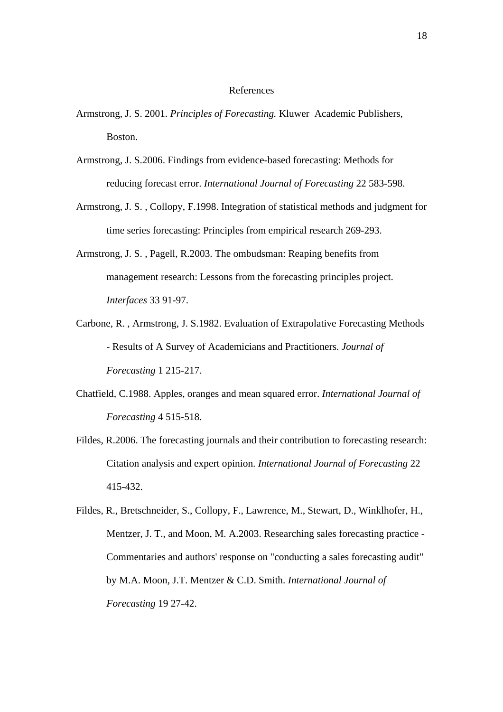#### References

- Armstrong, J. S. 2001. *Principles of Forecasting.* Kluwer Academic Publishers, Boston.
- Armstrong, J. S.2006. Findings from evidence-based forecasting: Methods for reducing forecast error. *International Journal of Forecasting* 22 583-598.
- Armstrong, J. S. , Collopy, F.1998. Integration of statistical methods and judgment for time series forecasting: Principles from empirical research 269-293.
- Armstrong, J. S. , Pagell, R.2003. The ombudsman: Reaping benefits from management research: Lessons from the forecasting principles project. *Interfaces* 33 91-97.
- Carbone, R. , Armstrong, J. S.1982. Evaluation of Extrapolative Forecasting Methods - Results of A Survey of Academicians and Practitioners. *Journal of Forecasting* 1 215-217.
- Chatfield, C.1988. Apples, oranges and mean squared error. *International Journal of Forecasting* 4 515-518.
- Fildes, R.2006. The forecasting journals and their contribution to forecasting research: Citation analysis and expert opinion. *International Journal of Forecasting* 22 415-432.
- Fildes, R., Bretschneider, S., Collopy, F., Lawrence, M., Stewart, D., Winklhofer, H., Mentzer, J. T., and Moon, M. A.2003. Researching sales forecasting practice - Commentaries and authors' response on "conducting a sales forecasting audit" by M.A. Moon, J.T. Mentzer & C.D. Smith. *International Journal of Forecasting* 19 27-42.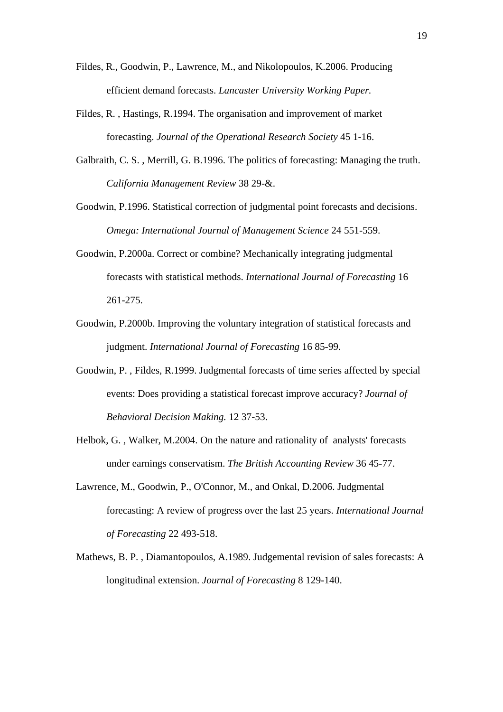- Fildes, R., Goodwin, P., Lawrence, M., and Nikolopoulos, K.2006. Producing efficient demand forecasts. *Lancaster University Working Paper.*
- Fildes, R. , Hastings, R.1994. The organisation and improvement of market forecasting. *Journal of the Operational Research Society* 45 1-16.
- Galbraith, C. S. , Merrill, G. B.1996. The politics of forecasting: Managing the truth. *California Management Review* 38 29-&.
- Goodwin, P.1996. Statistical correction of judgmental point forecasts and decisions. *Omega: International Journal of Management Science* 24 551-559.
- Goodwin, P.2000a. Correct or combine? Mechanically integrating judgmental forecasts with statistical methods. *International Journal of Forecasting* 16 261-275.
- Goodwin, P.2000b. Improving the voluntary integration of statistical forecasts and judgment. *International Journal of Forecasting* 16 85-99.
- Goodwin, P. , Fildes, R.1999. Judgmental forecasts of time series affected by special events: Does providing a statistical forecast improve accuracy? *Journal of Behavioral Decision Making.* 12 37-53.
- Helbok, G. , Walker, M.2004. On the nature and rationality of analysts' forecasts under earnings conservatism. *The British Accounting Review* 36 45-77.
- Lawrence, M., Goodwin, P., O'Connor, M., and Onkal, D.2006. Judgmental forecasting: A review of progress over the last 25 years. *International Journal of Forecasting* 22 493-518.
- Mathews, B. P. , Diamantopoulos, A.1989. Judgemental revision of sales forecasts: A longitudinal extension. *Journal of Forecasting* 8 129-140.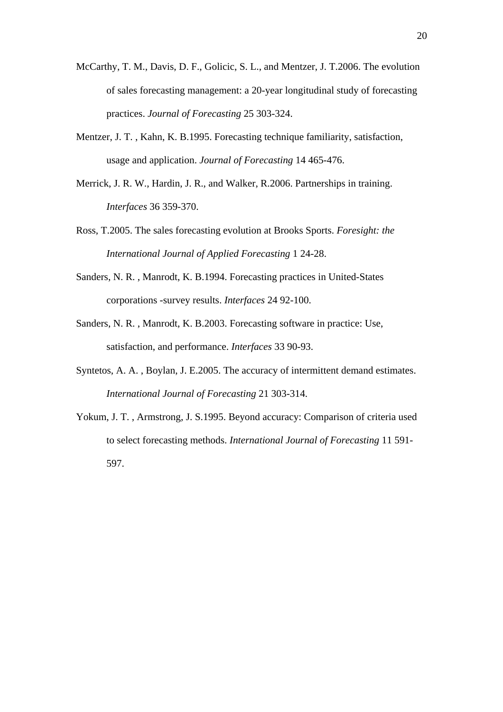- McCarthy, T. M., Davis, D. F., Golicic, S. L., and Mentzer, J. T.2006. The evolution of sales forecasting management: a 20-year longitudinal study of forecasting practices. *Journal of Forecasting* 25 303-324.
- Mentzer, J. T. , Kahn, K. B.1995. Forecasting technique familiarity, satisfaction, usage and application. *Journal of Forecasting* 14 465-476.
- Merrick, J. R. W., Hardin, J. R., and Walker, R.2006. Partnerships in training. *Interfaces* 36 359-370.
- Ross, T.2005. The sales forecasting evolution at Brooks Sports. *Foresight: the International Journal of Applied Forecasting* 1 24-28.
- Sanders, N. R. , Manrodt, K. B.1994. Forecasting practices in United-States corporations -survey results. *Interfaces* 24 92-100.
- Sanders, N. R. , Manrodt, K. B.2003. Forecasting software in practice: Use, satisfaction, and performance. *Interfaces* 33 90-93.
- Syntetos, A. A. , Boylan, J. E.2005. The accuracy of intermittent demand estimates. *International Journal of Forecasting* 21 303-314.
- Yokum, J. T. , Armstrong, J. S.1995. Beyond accuracy: Comparison of criteria used to select forecasting methods. *International Journal of Forecasting* 11 591- 597.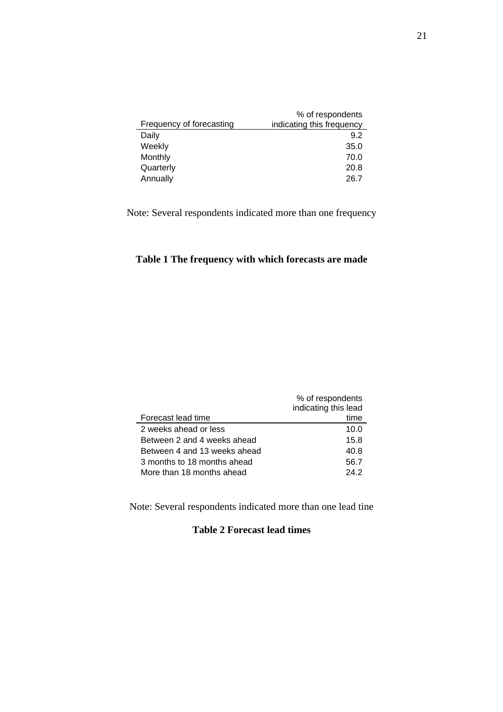| % of respondents<br>indicating this frequency |
|-----------------------------------------------|
| 9.2                                           |
| 35.0                                          |
| 70.0                                          |
| 20.8                                          |
| 26.7                                          |
|                                               |

Note: Several respondents indicated more than one frequency

## **Table 1 The frequency with which forecasts are made**

|                              | % of respondents     |
|------------------------------|----------------------|
|                              | indicating this lead |
| Forecast lead time           | time                 |
| 2 weeks ahead or less        | 10.0                 |
| Between 2 and 4 weeks ahead  | 15.8                 |
| Between 4 and 13 weeks ahead | 40.8                 |
| 3 months to 18 months ahead  | 56.7                 |
| More than 18 months ahead    | 24.2                 |

Note: Several respondents indicated more than one lead tine

### **Table 2 Forecast lead times**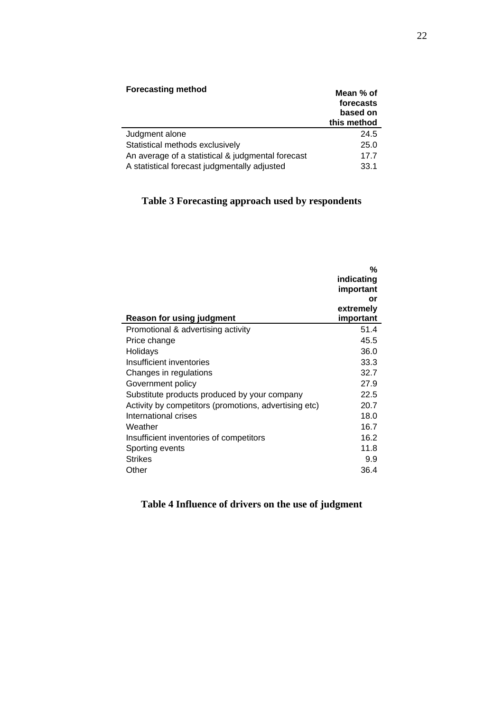| <b>Forecasting method</b>                         | Mean % of<br>forecasts<br>based on<br>this method |
|---------------------------------------------------|---------------------------------------------------|
| Judgment alone                                    | 24.5                                              |
| Statistical methods exclusively                   | 25.0                                              |
| An average of a statistical & judgmental forecast | 17.7                                              |
| A statistical forecast judgmentally adjusted      | 33.1                                              |

## **Table 3 Forecasting approach used by respondents**

| Reason for using judgment                             | %<br>indicating<br>important<br>or<br>extremely<br>important |
|-------------------------------------------------------|--------------------------------------------------------------|
| Promotional & advertising activity                    | 51.4                                                         |
| Price change                                          | 45.5                                                         |
| Holidays                                              | 36.0                                                         |
| Insufficient inventories                              | 33.3                                                         |
| Changes in regulations                                | 32.7                                                         |
| Government policy                                     | 27.9                                                         |
| Substitute products produced by your company          | 22.5                                                         |
| Activity by competitors (promotions, advertising etc) | 20.7                                                         |
| International crises                                  | 18.0                                                         |
| Weather                                               | 16.7                                                         |
| Insufficient inventories of competitors               | 16.2                                                         |
| Sporting events                                       | 11.8                                                         |
| <b>Strikes</b>                                        | 9.9                                                          |
| Other                                                 | 36.4                                                         |

## **Table 4 Influence of drivers on the use of judgment**